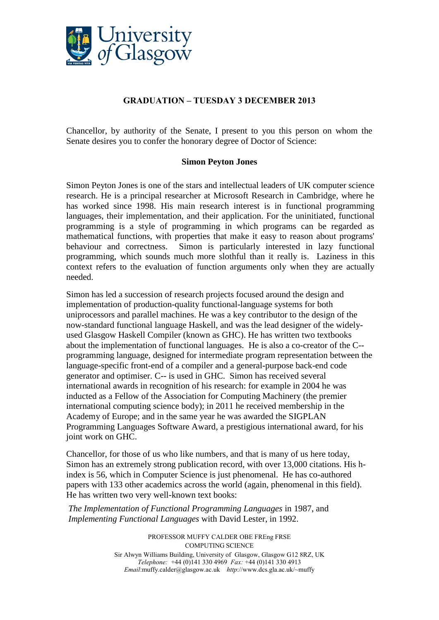

## **GRADUATION – TUESDAY 3 DECEMBER 2013**

Chancellor, by authority of the Senate, I present to you this person on whom the Senate desires you to confer the honorary degree of Doctor of Science:

## **Simon Peyton Jones**

Simon Peyton Jones is one of the stars and intellectual leaders of UK computer science research. He is a principal researcher at Microsoft Research in Cambridge, where he has worked since 1998. His main research interest is in functional programming languages, their implementation, and their application. For the uninitiated, functional programming is a style of programming in which programs can be regarded as mathematical functions, with properties that make it easy to reason about programs' behaviour and correctness. Simon is particularly interested in lazy functional programming, which sounds much more slothful than it really is. Laziness in this context refers to the evaluation of function arguments only when they are actually needed.

Simon has led a succession of research projects focused around the design and implementation of production-quality functional-language systems for both uniprocessors and parallel machines. He was a key contributor to the design of the now-standard functional language Haskell, and was the lead designer of the widelyused Glasgow Haskell Compiler (known as GHC). He has written two textbooks about the implementation of functional languages. He is also a co-creator of the [C-](http://en.wikipedia.org/wiki/C--_(intermediate_language)) programming language, designed for intermediate program representation between the language-specific front-end of a compiler and a general-purpose back-end code generator and optimiser. C-- is used in GHC. Simon has received several international awards in recognition of his research: for example in 2004 he was inducted as a [Fellow](http://en.wikipedia.org/wiki/Fellow) of the [Association for Computing Machinery](http://en.wikipedia.org/wiki/Association_for_Computing_Machinery) (the premier international computing science body); in 2011 he received membership in the [Academy](http://en.wikipedia.org/wiki/Academia_Europaea) of Europe; and in the same year he was awarded the [SIGPLAN](http://en.wikipedia.org/wiki/SIGPLAN_Programming_Languages_Software_Award)  [Programming Languages Software Award,](http://en.wikipedia.org/wiki/SIGPLAN_Programming_Languages_Software_Award) a prestigious international award, for his joint work on GHC.

Chancellor, for those of us who like numbers, and that is many of us here today, Simon has an extremely strong publication record, with over 13,000 citations. His hindex is 56, which in Computer Science is just phenomenal. He has co-authored papers with 133 other academics across the world (again, phenomenal in this field). He has written two very well-known text books:

*The Implementation of Functional Programming Languages* in 1987, and *Implementing Functional Languages* with David Lester, in 1992.

> PROFESSOR MUFFY CALDER OBE FREng FRSE COMPUTING SCIENCE Sir Alwyn Williams Building, University of Glasgow, Glasgow G12 8RZ, UK *Telephone:* +44 (0)141 330 4969 *Fax:* +44 (0)141 330 4913 *Email*:muffy.calder@glasgow.ac.uk *http*://www.dcs.gla.ac.uk/~muffy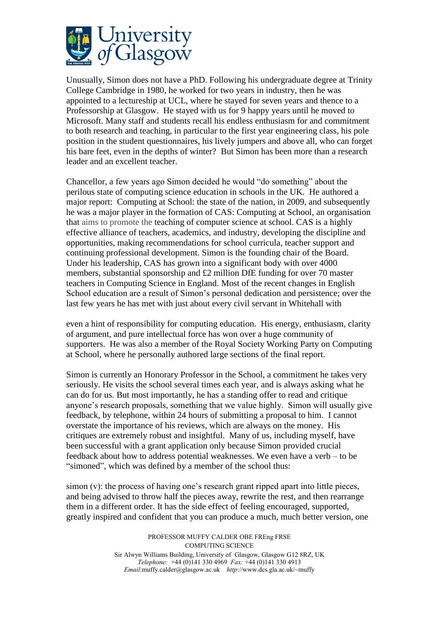

Unusually, Simon does not have a PhD. Following his undergraduate degree at Trinity College Cambridge in 1980, he worked for two years in industry, then he was appointed to a lectureship at UCL, where he stayed for seven years and thence to a Professorship at Glasgow. He stayed with us for 9 happy years until he moved to Microsoft. Many staff and students recall his endless enthusiasm for and commitment to both research and teaching, in particular to the first year engineering class, his pole position in the student questionnaires, his lively jumpers and above all, who can forget his bare feet, even in the depths of winter? But Simon has been more than a research leader and an excellent teacher.

Chancellor, a few years ago Simon decided he would "do something" about the perilous state of computing science education in schools in the UK. He authored a major report: Computing at School: the state of the nation, in 2009, and subsequently he was a major player in the formation of CAS: Computing at School, an organisation that aims to promote the teaching of computer science at school. CAS is a highly effective alliance of teachers, academics, and industry, developing the discipline and opportunities, making recommendations for school curricula, teacher support and continuing professional development. Simon is the founding chair of the Board. Under his leadership, CAS has grown into a significant body with over 4000 members, substantial sponsorship and  $\pounds$ 2 million DfE funding for over 70 master teachers in Computing Science in England. Most of the recent changes in English School education are a result of Simon's personal dedication and persistence; over the last few years he has met with just about every civil servant in Whitehall with

even a hint of responsibility for computing education. His energy, enthusiasm, clarity of argument, and pure intellectual force has won over a huge community of supporters. He was also a member of the Royal Society Working Party on Computing at School, where he personally authored large sections of the final report.

Simon is currently an Honorary Professor in the School, a commitment he takes very seriously. He visits the school several times each year, and is always asking what he can do for us. But most importantly, he has a standing offer to read and critique anyone's research proposals, something that we value highly. Simon will usually give feedback, by telephone, within 24 hours of submitting a proposal to him. I cannot overstate the importance of his reviews, which are always on the money. His critiques are extremely robust and insightful. Many of us, including myself, have been successful with a grant application only because Simon provided crucial feedback about how to address potential weaknesses. We even have a verb – to be "simoned", which was defined by a member of the school thus:

simon (v): the process of having one's research grant ripped apart into little pieces, and being advised to throw half the pieces away, rewrite the rest, and then rearrange them in a different order. It has the side effect of feeling encouraged, supported, greatly inspired and confident that you can produce a much, much better version, one

> PROFESSOR MUFFY CALDER OBE FREng FRSE COMPUTING SCIENCE Sir Alwyn Williams Building, University of Glasgow, Glasgow G12 8RZ, UK *Telephone:* +44 (0)141 330 4969 *Fax:* +44 (0)141 330 4913 *Email*:muffy.calder@glasgow.ac.uk *http*://www.dcs.gla.ac.uk/~muffy